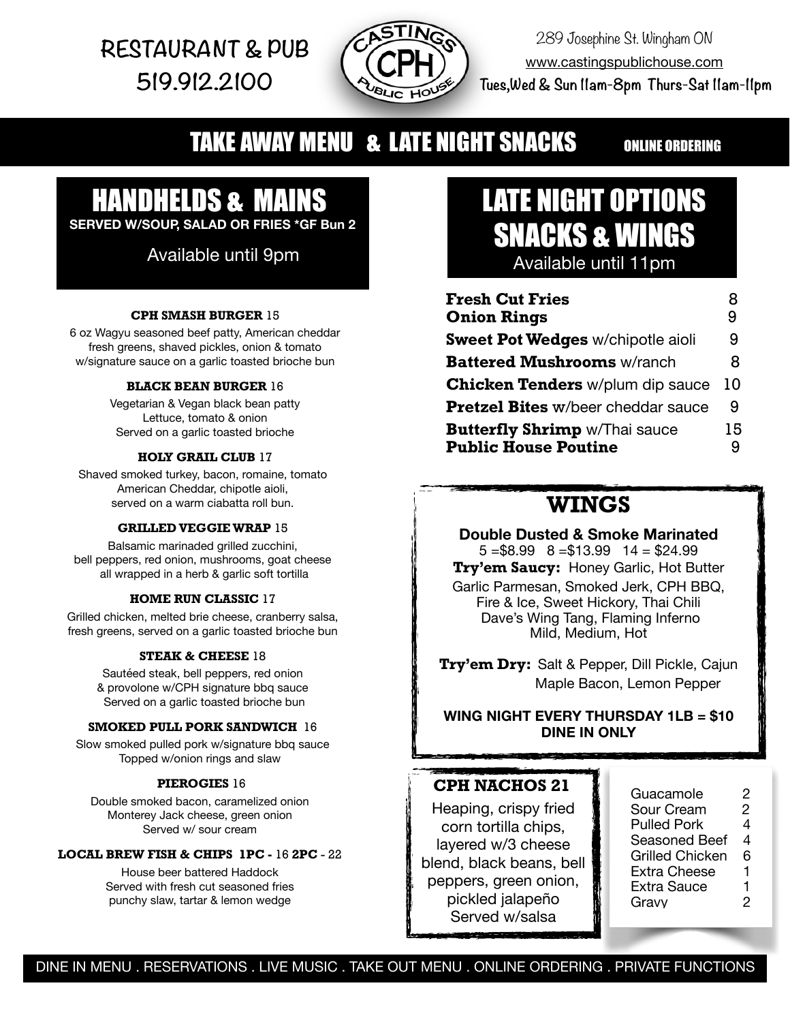**RESTAURANT & PUB 519.912.2100** 



289 Josephine St. Wingham ON [www.castingspublichouse.com](http://www.castingspublichouse.com)  **Tues,Wed & Sun 11am-8pm Thurs-Sat 11am-11pm**

## **TAKE AWAY MENU & LATE NIGHT SNACKS** ONLINE ORDERING

# HANDHELDS & MAINS

**SERVED W/SOUP, SALAD OR FRIES \*GF Bun 2**

### Available until 9pm

#### **CPH SMASH BURGER** 15

6 oz Wagyu seasoned beef patty, American cheddar fresh greens, shaved pickles, onion & tomato w/signature sauce on a garlic toasted brioche bun

#### **BLACK BEAN BURGER** 16

Vegetarian & Vegan black bean patty Lettuce, tomato & onion Served on a garlic toasted brioche

#### **HOLY GRAIL CLUB** 17

Shaved smoked turkey, bacon, romaine, tomato American Cheddar, chipotle aioli, served on a warm ciabatta roll bun.

#### **GRILLED VEGGIE WRAP** 15

Balsamic marinaded grilled zucchini, bell peppers, red onion, mushrooms, goat cheese all wrapped in a herb & garlic soft tortilla

#### **HOME RUN CLASSIC** 17

Grilled chicken, melted brie cheese, cranberry salsa, fresh greens, served on a garlic toasted brioche bun

#### **STEAK & CHEESE** 18

Sautéed steak, bell peppers, red onion & provolone w/CPH signature bbq sauce Served on a garlic toasted brioche bun

#### **SMOKED PULL PORK SANDWICH** 16

Slow smoked pulled pork w/signature bbq sauce Topped w/onion rings and slaw

#### **PIEROGIES** 16

Double smoked bacon, caramelized onion Monterey Jack cheese, green onion Served w/ sour cream

#### **LOCAL BREW FISH & CHIPS 1PC -** 16 **2PC** - 22

House beer battered Haddock Served with fresh cut seasoned fries punchy slaw, tartar & lemon wedge

## LATE NIGHT OPTIONS SNACKS & WINGS Available until 11pm

| <b>Fresh Cut Fries</b>                    |    |
|-------------------------------------------|----|
| <b>Onion Rings</b>                        | 9  |
| <b>Sweet Pot Wedges w/chipotle aioli</b>  | 9  |
| <b>Battered Mushrooms w/ranch</b>         | 8  |
| <b>Chicken Tenders</b> w/plum dip sauce   | 10 |
| <b>Pretzel Bites w/beer cheddar sauce</b> | 9  |
| <b>Butterfly Shrimp w/Thai sauce</b>      | 15 |
| <b>Public House Poutine</b>               | 9  |

### **WINGS**

**Double Dusted & Smoke Marinated**  $5 = $8.99 \quad 8 = $13.99 \quad 14 = $24.99$ **Try'em Saucy:** Honey Garlic, Hot Butter Garlic Parmesan, Smoked Jerk, CPH BBQ, Fire & Ice, Sweet Hickory, Thai Chili Dave's Wing Tang, Flaming Inferno Mild, Medium, Hot

**Try'em Dry:** Salt & Pepper, Dill Pickle, Cajun Maple Bacon, Lemon Pepper

**WING NIGHT EVERY THURSDAY 1LB = \$10 DINE IN ONLY** 

#### **CPH NACHOS 21**

Heaping, crispy fried corn tortilla chips, layered w/3 cheese blend, black beans, bell peppers, green onion, pickled jalapeño Served w/salsa

| Guacamole       | 2 |
|-----------------|---|
| Sour Cream      | 2 |
| Pulled Pork     | 4 |
| Seasoned Beef   | 4 |
| Grilled Chicken | 6 |
| Extra Cheese    | 1 |
| Extra Sauce     | 1 |
| Gravv           | 2 |

DINE IN MENU . RESERVATIONS . LIVE MUSIC . TAKE OUT MENU . ONLINE ORDERING . PRIVATE FUNCTIONS